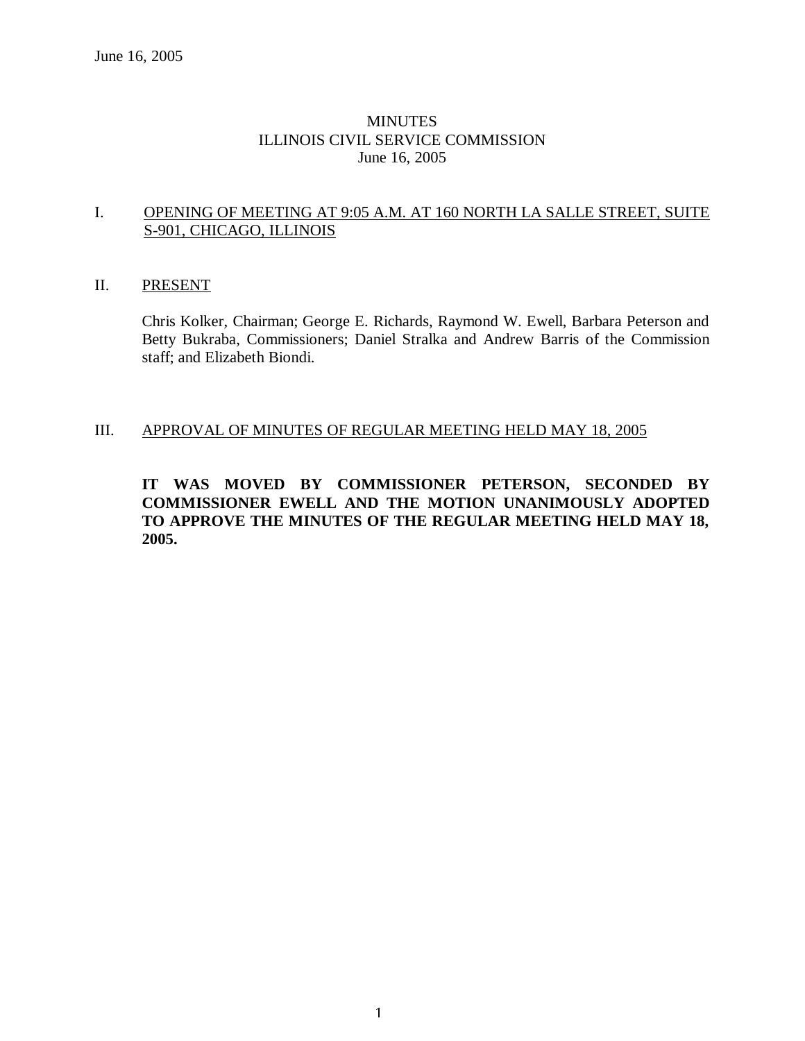### MINUTES ILLINOIS CIVIL SERVICE COMMISSION June 16, 2005

### I. OPENING OF MEETING AT 9:05 A.M. AT 160 NORTH LA SALLE STREET, SUITE S-901, CHICAGO, ILLINOIS

## II. PRESENT

Chris Kolker, Chairman; George E. Richards, Raymond W. Ewell, Barbara Peterson and Betty Bukraba, Commissioners; Daniel Stralka and Andrew Barris of the Commission staff; and Elizabeth Biondi.

### III. APPROVAL OF MINUTES OF REGULAR MEETING HELD MAY 18, 2005

### **IT WAS MOVED BY COMMISSIONER PETERSON, SECONDED BY COMMISSIONER EWELL AND THE MOTION UNANIMOUSLY ADOPTED TO APPROVE THE MINUTES OF THE REGULAR MEETING HELD MAY 18, 2005.**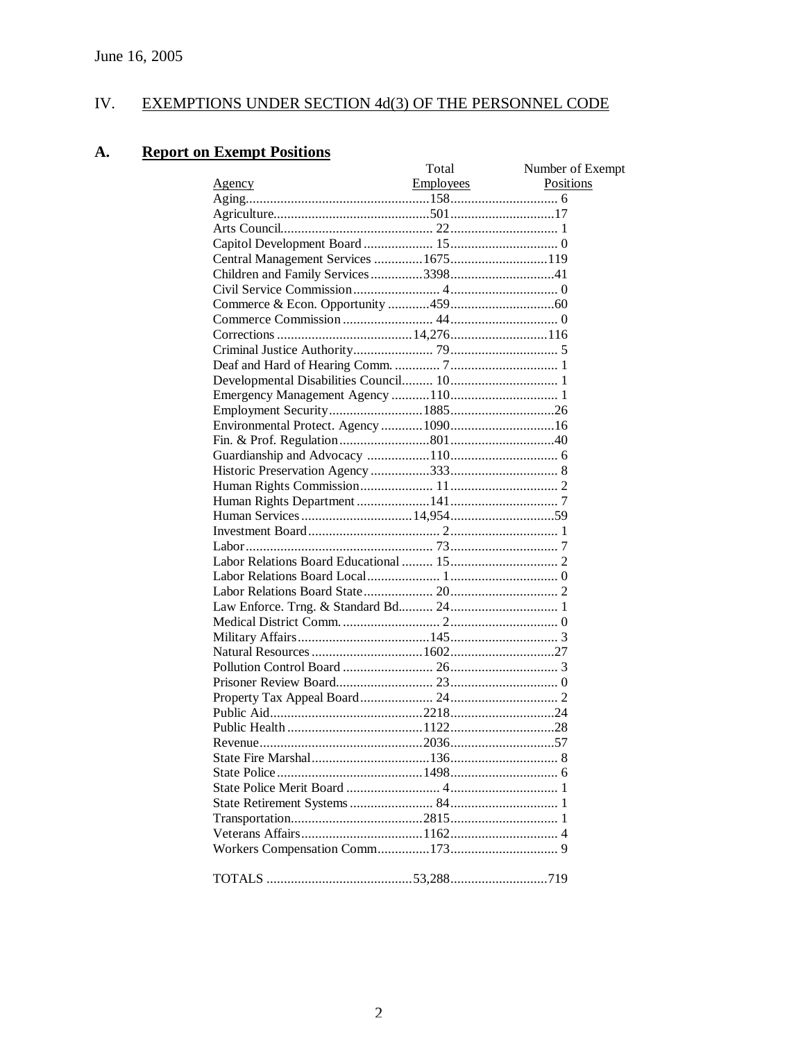# IV. EXEMPTIONS UNDER SECTION 4d(3) OF THE PERSONNEL CODE

# **A. Report on Exempt Positions**

|                                      | Total     | Number of Exempt |
|--------------------------------------|-----------|------------------|
| <u>Agency</u>                        | Employees | Positions        |
|                                      |           |                  |
|                                      |           |                  |
|                                      |           |                  |
|                                      |           |                  |
| Central Management Services  1675119 |           |                  |
|                                      |           |                  |
|                                      |           |                  |
|                                      |           |                  |
|                                      |           |                  |
|                                      |           |                  |
|                                      |           |                  |
|                                      |           |                  |
|                                      |           |                  |
|                                      |           |                  |
|                                      |           |                  |
|                                      |           |                  |
|                                      |           |                  |
|                                      |           |                  |
|                                      |           |                  |
|                                      |           |                  |
|                                      |           |                  |
|                                      |           |                  |
|                                      |           |                  |
|                                      |           |                  |
|                                      |           |                  |
|                                      |           |                  |
|                                      |           |                  |
|                                      |           |                  |
|                                      |           |                  |
|                                      |           |                  |
| Natural Resources  160227            |           |                  |
|                                      |           |                  |
|                                      |           |                  |
|                                      |           |                  |
|                                      |           |                  |
|                                      |           |                  |
|                                      |           |                  |
|                                      |           |                  |
|                                      |           |                  |
|                                      |           |                  |
|                                      |           |                  |
|                                      |           |                  |
|                                      |           |                  |
|                                      |           |                  |
|                                      |           |                  |
|                                      |           |                  |
|                                      |           |                  |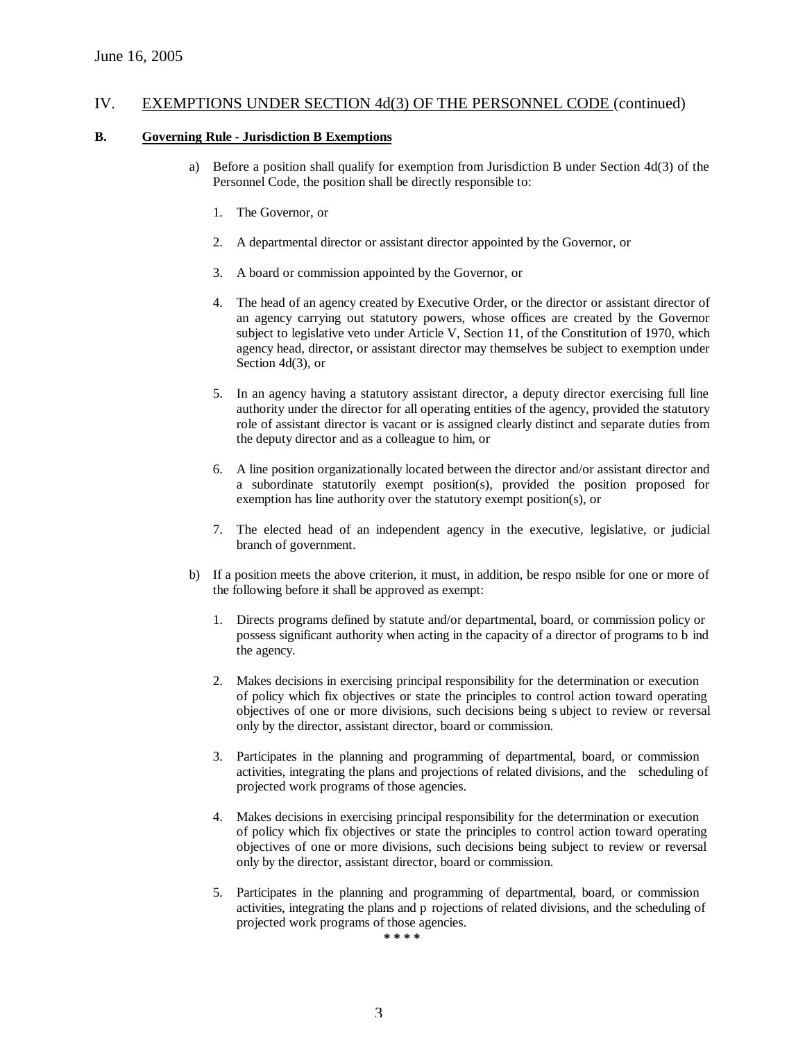#### IV. EXEMPTIONS UNDER SECTION 4d(3) OF THE PERSONNEL CODE (continued)

#### **B. Governing Rule - Jurisdiction B Exemptions**

- a) Before a position shall qualify for exemption from Jurisdiction B under Section 4d(3) of the Personnel Code, the position shall be directly responsible to:
	- 1. The Governor, or
	- 2. A departmental director or assistant director appointed by the Governor, or
	- 3. A board or commission appointed by the Governor, or
	- 4. The head of an agency created by Executive Order, or the director or assistant director of an agency carrying out statutory powers, whose offices are created by the Governor subject to legislative veto under Article V, Section 11, of the Constitution of 1970, which agency head, director, or assistant director may themselves be subject to exemption under Section 4d(3), or
	- 5. In an agency having a statutory assistant director, a deputy director exercising full line authority under the director for all operating entities of the agency, provided the statutory role of assistant director is vacant or is assigned clearly distinct and separate duties from the deputy director and as a colleague to him, or
	- 6. A line position organizationally located between the director and/or assistant director and a subordinate statutorily exempt position(s), provided the position proposed for exemption has line authority over the statutory exempt position(s), or
	- 7. The elected head of an independent agency in the executive, legislative, or judicial branch of government.
- b) If a position meets the above criterion, it must, in addition, be respo nsible for one or more of the following before it shall be approved as exempt:
	- 1. Directs programs defined by statute and/or departmental, board, or commission policy or possess significant authority when acting in the capacity of a director of programs to b ind the agency.
	- 2. Makes decisions in exercising principal responsibility for the determination or execution of policy which fix objectives or state the principles to control action toward operating objectives of one or more divisions, such decisions being s ubject to review or reversal only by the director, assistant director, board or commission.
	- 3. Participates in the planning and programming of departmental, board, or commission activities, integrating the plans and projections of related divisions, and the scheduling of projected work programs of those agencies.
	- 4. Makes decisions in exercising principal responsibility for the determination or execution of policy which fix objectives or state the principles to control action toward operating objectives of one or more divisions, such decisions being subject to review or reversal only by the director, assistant director, board or commission.
	- 5. Participates in the planning and programming of departmental, board, or commission activities, integrating the plans and p rojections of related divisions, and the scheduling of projected work programs of those agencies.

**\* \* \* \***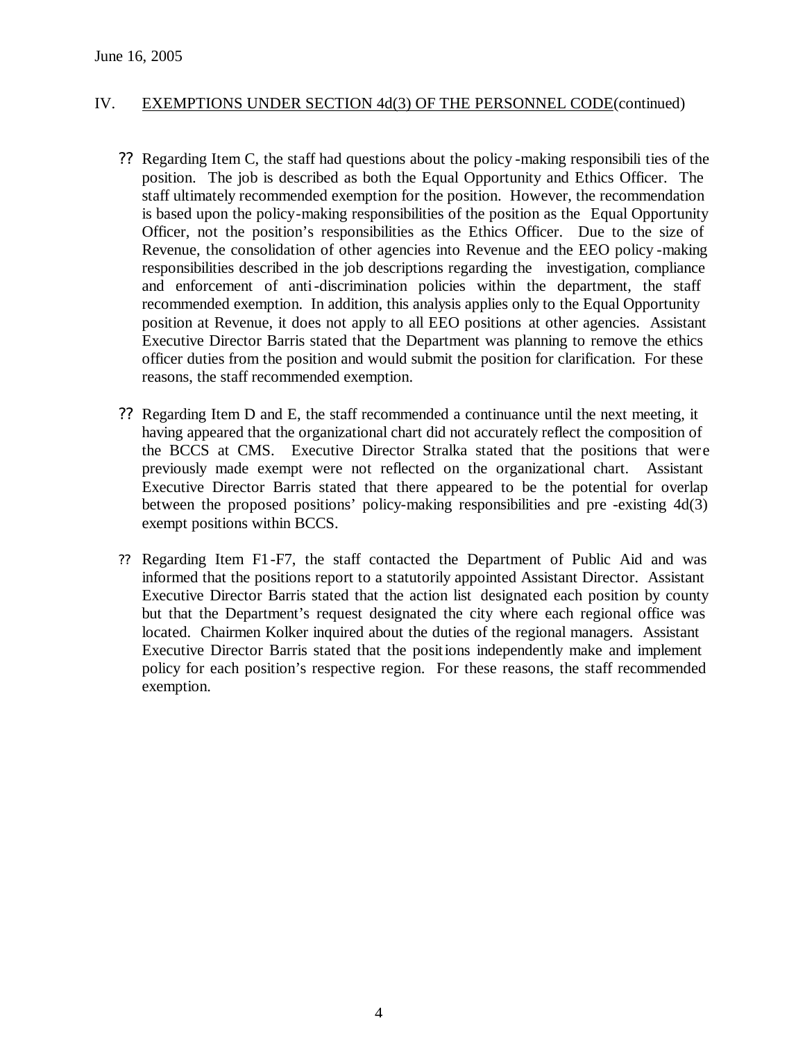### IV. EXEMPTIONS UNDER SECTION 4d(3) OF THE PERSONNEL CODE(continued)

- ?? Regarding Item C, the staff had questions about the policy -making responsibili ties of the position. The job is described as both the Equal Opportunity and Ethics Officer. The staff ultimately recommended exemption for the position. However, the recommendation is based upon the policy-making responsibilities of the position as the Equal Opportunity Officer, not the position's responsibilities as the Ethics Officer. Due to the size of Revenue, the consolidation of other agencies into Revenue and the EEO policy -making responsibilities described in the job descriptions regarding the investigation, compliance and enforcement of anti-discrimination policies within the department, the staff recommended exemption. In addition, this analysis applies only to the Equal Opportunity position at Revenue, it does not apply to all EEO positions at other agencies. Assistant Executive Director Barris stated that the Department was planning to remove the ethics officer duties from the position and would submit the position for clarification. For these reasons, the staff recommended exemption.
- ?? Regarding Item D and E, the staff recommended a continuance until the next meeting, it having appeared that the organizational chart did not accurately reflect the composition of the BCCS at CMS. Executive Director Stralka stated that the positions that were previously made exempt were not reflected on the organizational chart. Assistant Executive Director Barris stated that there appeared to be the potential for overlap between the proposed positions' policy-making responsibilities and pre -existing 4d(3) exempt positions within BCCS.
- ?? Regarding Item F1-F7, the staff contacted the Department of Public Aid and was informed that the positions report to a statutorily appointed Assistant Director. Assistant Executive Director Barris stated that the action list designated each position by county but that the Department's request designated the city where each regional office was located. Chairmen Kolker inquired about the duties of the regional managers. Assistant Executive Director Barris stated that the positions independently make and implement policy for each position's respective region. For these reasons, the staff recommended exemption.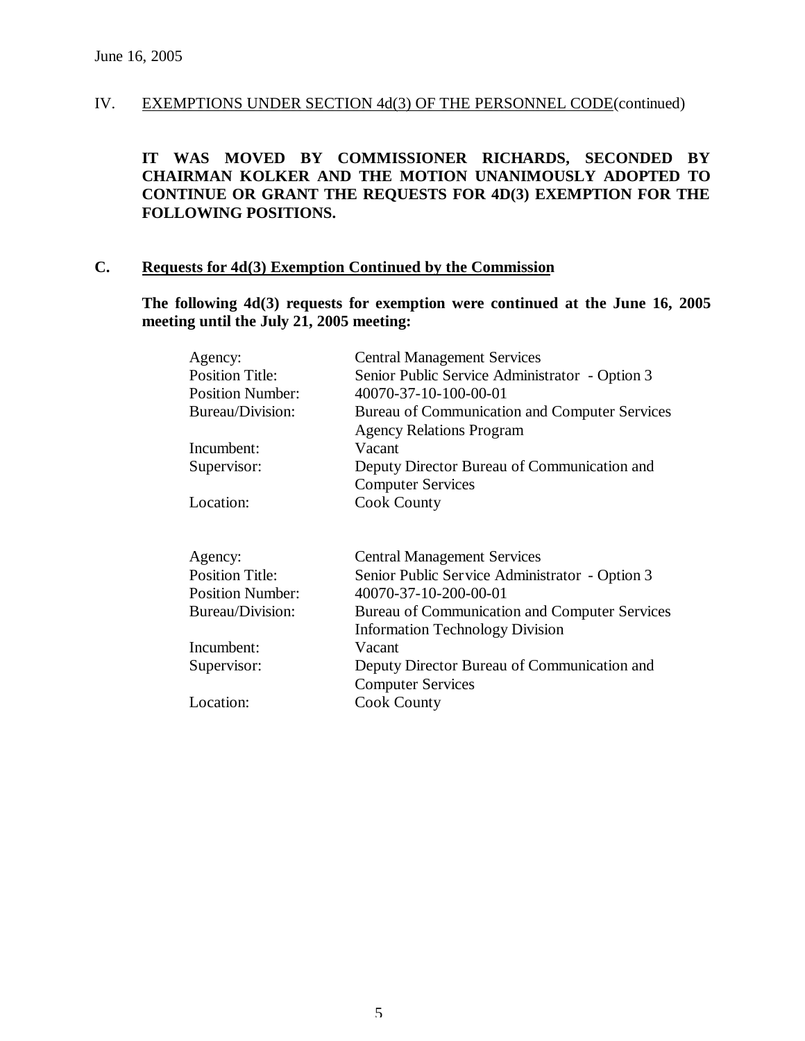## IV. EXEMPTIONS UNDER SECTION 4d(3) OF THE PERSONNEL CODE(continued)

**IT WAS MOVED BY COMMISSIONER RICHARDS, SECONDED BY CHAIRMAN KOLKER AND THE MOTION UNANIMOUSLY ADOPTED TO CONTINUE OR GRANT THE REQUESTS FOR 4D(3) EXEMPTION FOR THE FOLLOWING POSITIONS.**

#### **C. Requests for 4d(3) Exemption Continued by the Commission**

**The following 4d(3) requests for exemption were continued at the June 16, 2005 meeting until the July 21, 2005 meeting:**

| <b>Central Management Services</b>             |
|------------------------------------------------|
| Senior Public Service Administrator - Option 3 |
| 40070-37-10-100-00-01                          |
| Bureau of Communication and Computer Services  |
| <b>Agency Relations Program</b>                |
| Vacant                                         |
| Deputy Director Bureau of Communication and    |
| <b>Computer Services</b>                       |
| <b>Cook County</b>                             |
|                                                |
|                                                |
| <b>Central Management Services</b>             |
| Senior Public Service Administrator - Option 3 |
| 40070-37-10-200-00-01                          |
| Bureau of Communication and Computer Services  |
| <b>Information Technology Division</b>         |
| Vacant                                         |
| Deputy Director Bureau of Communication and    |
| <b>Computer Services</b>                       |
| <b>Cook County</b>                             |
|                                                |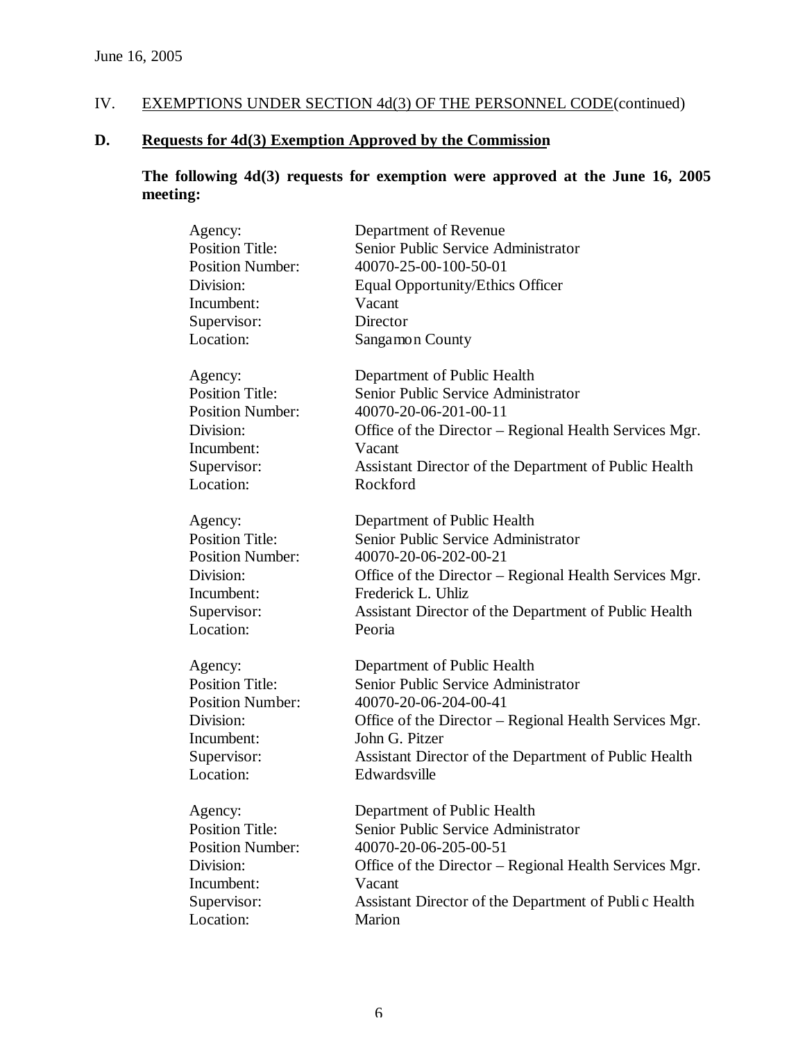# IV. EXEMPTIONS UNDER SECTION 4d(3) OF THE PERSONNEL CODE (continued)

# **D. Requests for 4d(3) Exemption Approved by the Commission**

# **The following 4d(3) requests for exemption were approved at the June 16, 2005 meeting:**

| Agency:                 | Department of Revenue                                            |
|-------------------------|------------------------------------------------------------------|
| <b>Position Title:</b>  | Senior Public Service Administrator                              |
| <b>Position Number:</b> | 40070-25-00-100-50-01                                            |
| Division:               | <b>Equal Opportunity/Ethics Officer</b>                          |
| Incumbent:              | Vacant                                                           |
| Supervisor:             | Director                                                         |
| Location:               | Sangamon County                                                  |
| Agency:                 | Department of Public Health                                      |
| <b>Position Title:</b>  | Senior Public Service Administrator                              |
| <b>Position Number:</b> | 40070-20-06-201-00-11                                            |
| Division:<br>Incumbent: | Office of the Director – Regional Health Services Mgr.<br>Vacant |
| Supervisor:             | Assistant Director of the Department of Public Health            |
| Location:               | Rockford                                                         |
| Agency:                 | Department of Public Health                                      |
| <b>Position Title:</b>  | Senior Public Service Administrator                              |
| <b>Position Number:</b> | 40070-20-06-202-00-21                                            |
| Division:               | Office of the Director – Regional Health Services Mgr.           |
| Incumbent:              | Frederick L. Uhliz                                               |
| Supervisor:             | Assistant Director of the Department of Public Health            |
| Location:               | Peoria                                                           |
| Agency:                 | Department of Public Health                                      |
| <b>Position Title:</b>  | Senior Public Service Administrator                              |
| <b>Position Number:</b> | 40070-20-06-204-00-41                                            |
| Division:               | Office of the Director – Regional Health Services Mgr.           |
| Incumbent:              | John G. Pitzer                                                   |
| Supervisor:             | Assistant Director of the Department of Public Health            |
| Location:               | Edwardsville                                                     |
| Agency:                 | Department of Public Health                                      |
| <b>Position Title:</b>  | Senior Public Service Administrator                              |
| <b>Position Number:</b> | 40070-20-06-205-00-51                                            |
| Division:               | Office of the Director – Regional Health Services Mgr.           |
| Incumbent:              | Vacant                                                           |
| Supervisor:             | Assistant Director of the Department of Public Health            |
| Location:               | Marion                                                           |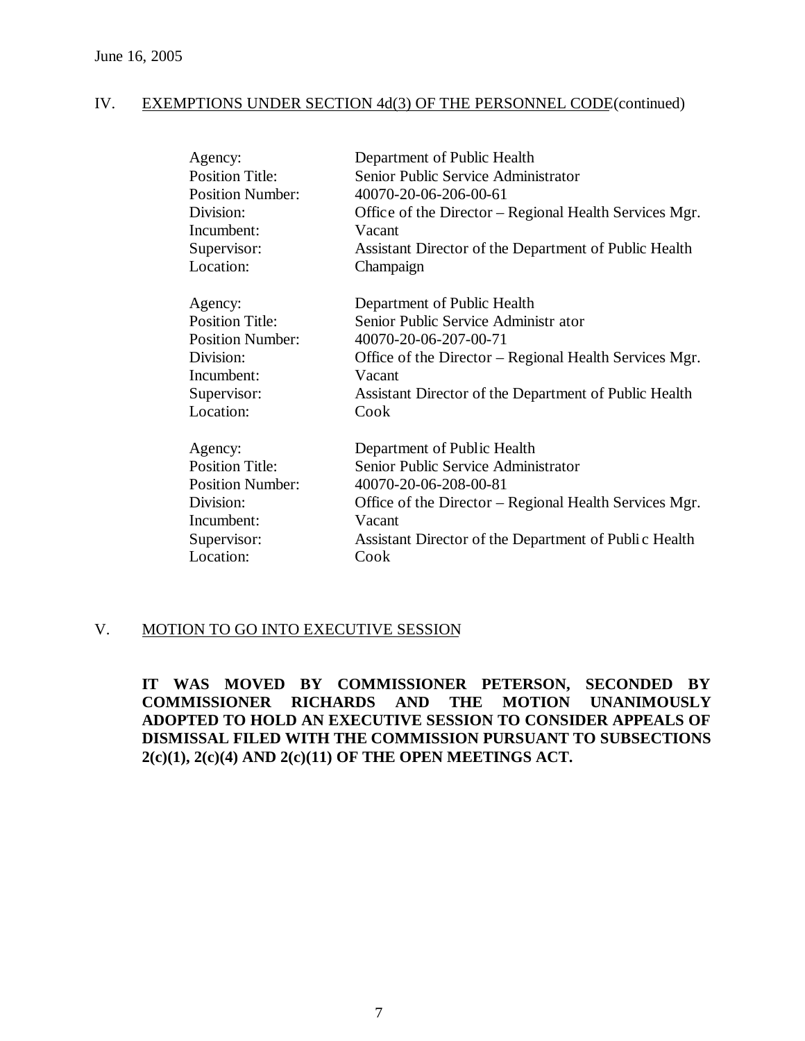## IV. EXEMPTIONS UNDER SECTION 4d(3) OF THE PERSONNEL CODE(continued)

| Agency:                 | Department of Public Health                            |
|-------------------------|--------------------------------------------------------|
| <b>Position Title:</b>  | Senior Public Service Administrator                    |
| <b>Position Number:</b> | 40070-20-06-206-00-61                                  |
| Division:               | Office of the Director – Regional Health Services Mgr. |
| Incumbent:              | Vacant                                                 |
| Supervisor:             | Assistant Director of the Department of Public Health  |
| Location:               | Champaign                                              |
| Agency:                 | Department of Public Health                            |
| <b>Position Title:</b>  | Senior Public Service Administr ator                   |
| <b>Position Number:</b> | 40070-20-06-207-00-71                                  |
| Division:               | Office of the Director – Regional Health Services Mgr. |
| Incumbent:              | Vacant                                                 |
| Supervisor:             | Assistant Director of the Department of Public Health  |
| Location:               | Cook                                                   |
| Agency:                 | Department of Public Health                            |
| <b>Position Title:</b>  | Senior Public Service Administrator                    |
| <b>Position Number:</b> | 40070-20-06-208-00-81                                  |
| Division:               | Office of the Director – Regional Health Services Mgr. |
| Incumbent:              | Vacant                                                 |
| Supervisor:             | Assistant Director of the Department of Public Health  |
| Location:               | Cook                                                   |

### V. MOTION TO GO INTO EXECUTIVE SESSION

**IT WAS MOVED BY COMMISSIONER PETERSON, SECONDED BY COMMISSIONER RICHARDS AND THE MOTION UNANIMOUSLY ADOPTED TO HOLD AN EXECUTIVE SESSION TO CONSIDER APPEALS OF DISMISSAL FILED WITH THE COMMISSION PURSUANT TO SUBSECTIONS 2(c)(1), 2(c)(4) AND 2(c)(11) OF THE OPEN MEETINGS ACT.**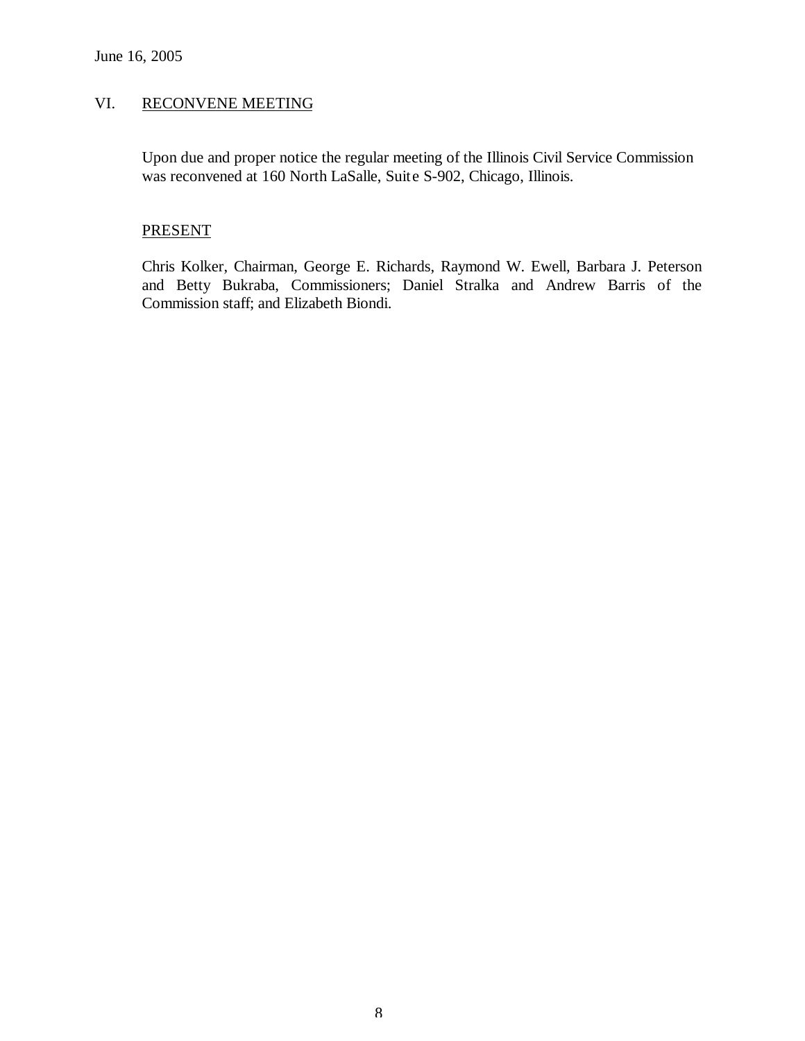# VI. RECONVENE MEETING

Upon due and proper notice the regular meeting of the Illinois Civil Service Commission was reconvened at 160 North LaSalle, Suite S-902, Chicago, Illinois.

### **PRESENT**

Chris Kolker, Chairman, George E. Richards, Raymond W. Ewell, Barbara J. Peterson and Betty Bukraba, Commissioners; Daniel Stralka and Andrew Barris of the Commission staff; and Elizabeth Biondi.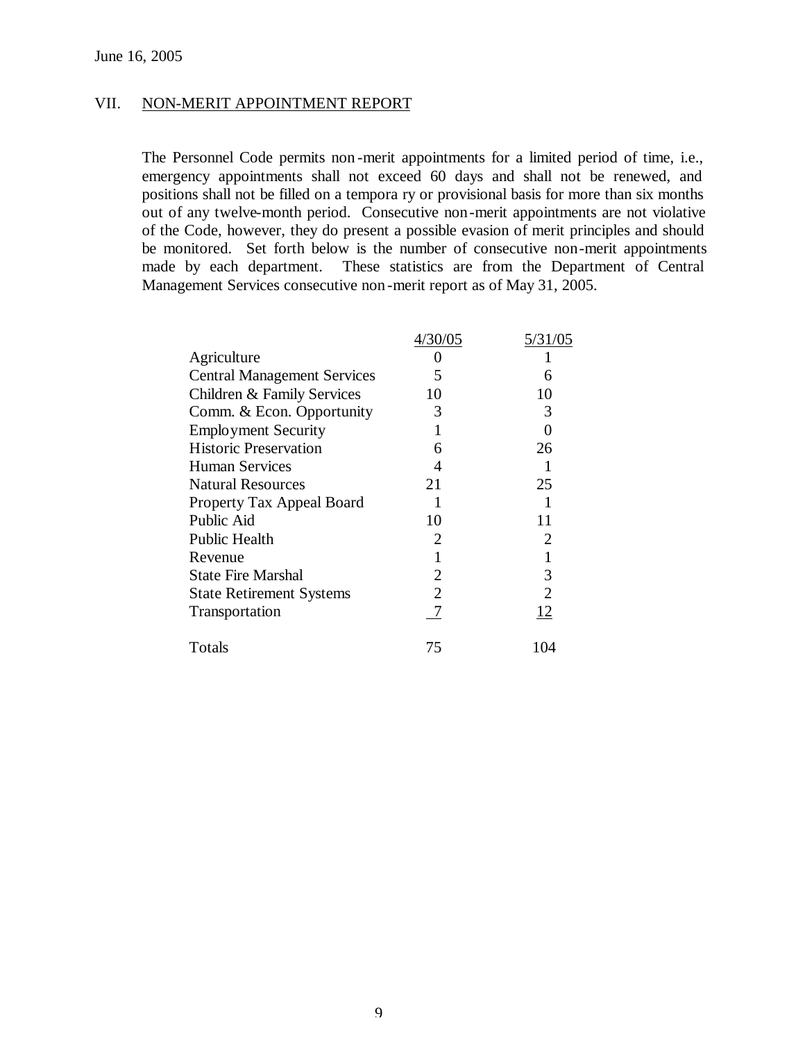### VII. NON-MERIT APPOINTMENT REPORT

The Personnel Code permits non -merit appointments for a limited period of time, i.e., emergency appointments shall not exceed 60 days and shall not be renewed, and positions shall not be filled on a tempora ry or provisional basis for more than six months out of any twelve-month period. Consecutive non-merit appointments are not violative of the Code, however, they do present a possible evasion of merit principles and should be monitored. Set forth below is the number of consecutive non-merit appointments made by each department. These statistics are from the Department of Central Management Services consecutive non -merit report as of May 31, 2005.

|                                    | 4/30/05 | 5/31/05        |
|------------------------------------|---------|----------------|
| Agriculture                        |         |                |
| <b>Central Management Services</b> | 5       | 6              |
| Children & Family Services         | 10      | 10             |
| Comm. & Econ. Opportunity          | 3       | 3              |
| <b>Employment Security</b>         |         | 0              |
| <b>Historic Preservation</b>       | 6       | 26             |
| <b>Human Services</b>              |         |                |
| <b>Natural Resources</b>           | 21      | 25             |
| Property Tax Appeal Board          |         |                |
| Public Aid                         | 10      | 11             |
| Public Health                      | 2       | 2              |
| Revenue                            |         |                |
| <b>State Fire Marshal</b>          | 2       | 3              |
| <b>State Retirement Systems</b>    | 2       | $\overline{2}$ |
| Transportation                     |         | 12             |
| Totals                             | 75      | 104            |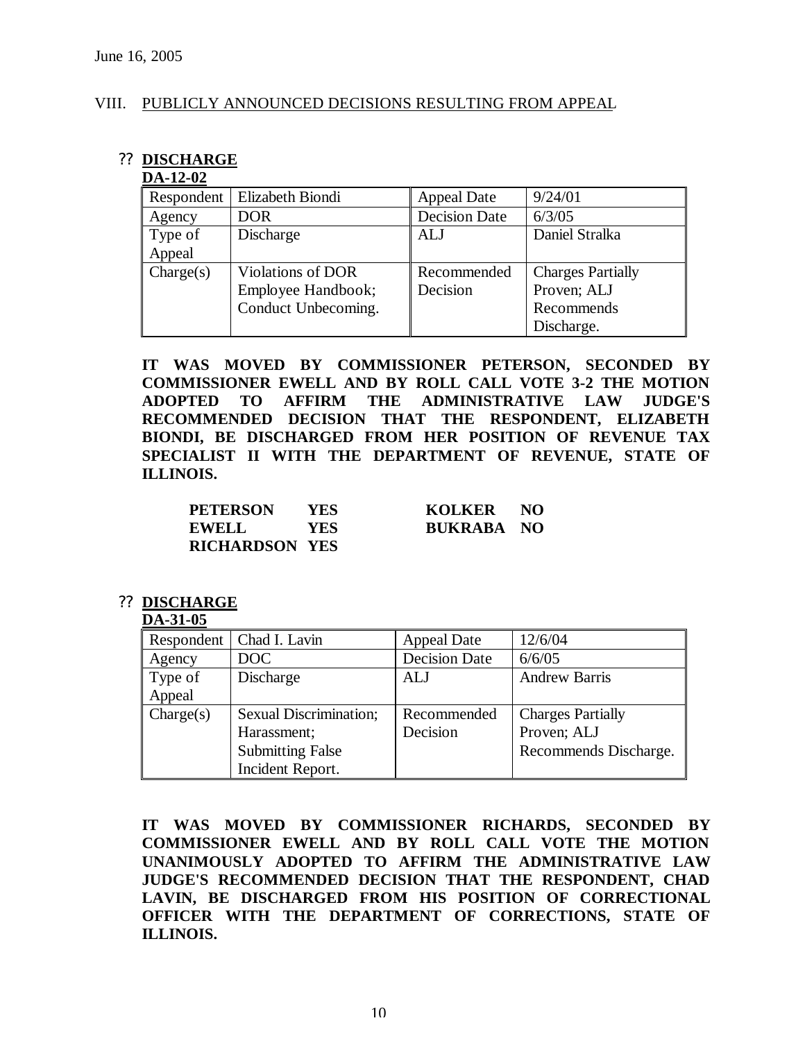### VIII. PUBLICLY ANNOUNCED DECISIONS RESULTING FROM APPEAL

### ?? **DISCHARGE**

#### **DA-12-02**

| Respondent | Elizabeth Biondi    | <b>Appeal Date</b>   | 9/24/01                  |
|------------|---------------------|----------------------|--------------------------|
| Agency     | <b>DOR</b>          | <b>Decision Date</b> | 6/3/05                   |
| Type of    | Discharge           | <b>ALJ</b>           | Daniel Stralka           |
| Appeal     |                     |                      |                          |
| Change(s)  | Violations of DOR   | Recommended          | <b>Charges Partially</b> |
|            | Employee Handbook;  | Decision             | Proven; ALJ              |
|            | Conduct Unbecoming. |                      | Recommends               |
|            |                     |                      | Discharge.               |

**IT WAS MOVED BY COMMISSIONER PETERSON, SECONDED BY COMMISSIONER EWELL AND BY ROLL CALL VOTE 3-2 THE MOTION ADOPTED TO AFFIRM THE ADMINISTRATIVE LAW JUDGE'S RECOMMENDED DECISION THAT THE RESPONDENT, ELIZABETH BIONDI, BE DISCHARGED FROM HER POSITION OF REVENUE TAX SPECIALIST II WITH THE DEPARTMENT OF REVENUE, STATE OF ILLINOIS.** 

| <b>PETERSON</b>       | YES.       | KOLKER NO         |  |
|-----------------------|------------|-------------------|--|
| EWELL                 | <b>YES</b> | <b>BUKRABA NO</b> |  |
| <b>RICHARDSON YES</b> |            |                   |  |

### ?? **DISCHARGE**

#### **DA-31-05**

| Respondent | Chad I. Lavin           | <b>Appeal Date</b>   | 12/6/04                  |
|------------|-------------------------|----------------------|--------------------------|
| Agency     | DOC                     | <b>Decision Date</b> | 6/6/05                   |
| Type of    | Discharge               | <b>ALJ</b>           | <b>Andrew Barris</b>     |
| Appeal     |                         |                      |                          |
| Change(s)  | Sexual Discrimination;  | Recommended          | <b>Charges Partially</b> |
|            | Harassment;             | Decision             | Proven; ALJ              |
|            | <b>Submitting False</b> |                      | Recommends Discharge.    |
|            | Incident Report.        |                      |                          |

**IT WAS MOVED BY COMMISSIONER RICHARDS, SECONDED BY COMMISSIONER EWELL AND BY ROLL CALL VOTE THE MOTION UNANIMOUSLY ADOPTED TO AFFIRM THE ADMINISTRATIVE LAW JUDGE'S RECOMMENDED DECISION THAT THE RESPONDENT, CHAD LAVIN, BE DISCHARGED FROM HIS POSITION OF CORRECTIONAL OFFICER WITH THE DEPARTMENT OF CORRECTIONS, STATE OF ILLINOIS.**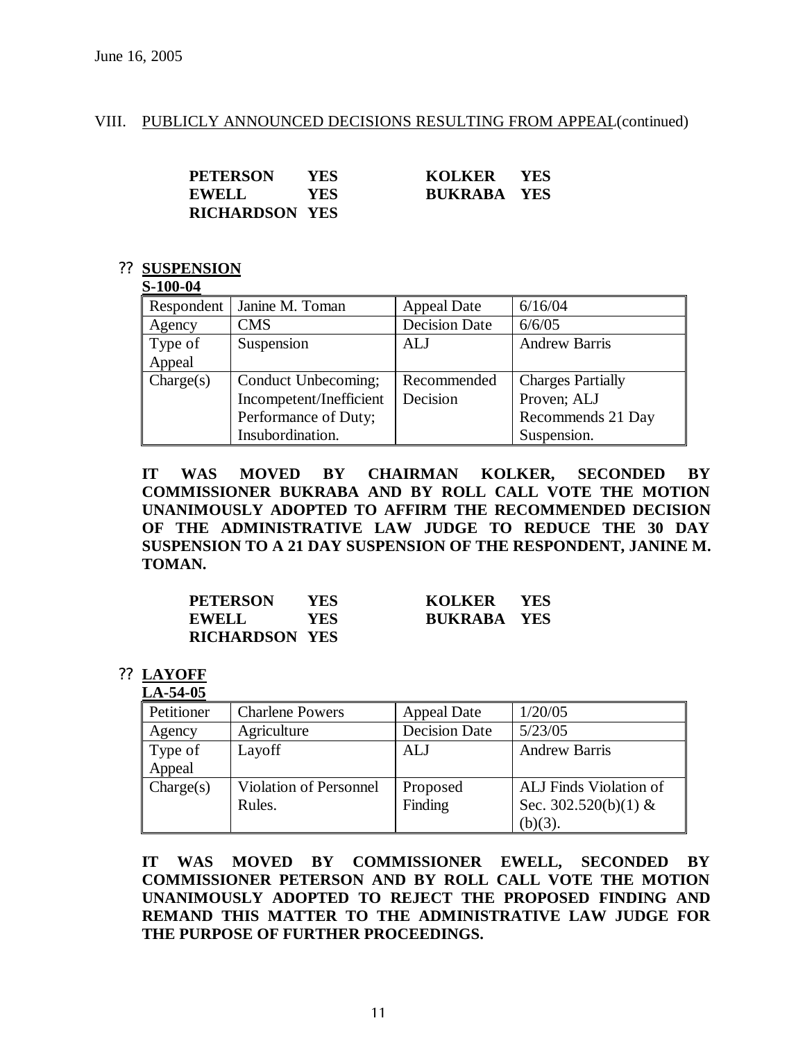### VIII. PUBLICLY ANNOUNCED DECISIONS RESULTING FROM APPEAL (continued)

| <b>PETERSON</b>       | <b>YES</b> | KOLKER YES         |  |
|-----------------------|------------|--------------------|--|
| <b>EWELL</b>          | YES.       | <b>BUKRABA YES</b> |  |
| <b>RICHARDSON YES</b> |            |                    |  |

#### ?? **SUSPENSION**

#### **S-100-04**

| Respondent | Janine M. Toman         | <b>Appeal Date</b>   | 6/16/04                  |
|------------|-------------------------|----------------------|--------------------------|
| Agency     | CMS                     | <b>Decision Date</b> | 6/6/05                   |
| Type of    | Suspension              | ALJ                  | <b>Andrew Barris</b>     |
| Appeal     |                         |                      |                          |
| Change(s)  | Conduct Unbecoming;     | Recommended          | <b>Charges Partially</b> |
|            | Incompetent/Inefficient | Decision             | Proven; ALJ              |
|            | Performance of Duty;    |                      | Recommends 21 Day        |
|            | Insubordination.        |                      | Suspension.              |

**IT WAS MOVED BY CHAIRMAN KOLKER, SECONDED BY COMMISSIONER BUKRABA AND BY ROLL CALL VOTE THE MOTION UNANIMOUSLY ADOPTED TO AFFIRM THE RECOMMENDED DECISION OF THE ADMINISTRATIVE LAW JUDGE TO REDUCE THE 30 DAY SUSPENSION TO A 21 DAY SUSPENSION OF THE RESPONDENT, JANINE M. TOMAN.**

| <b>PETERSON</b>       | YES. | KOLKER YES         |  |
|-----------------------|------|--------------------|--|
| <b>EWELL</b>          | YES  | <b>BUKRABA YES</b> |  |
| <b>RICHARDSON YES</b> |      |                    |  |

### ?? **LAYOFF**

### **LA-54-05**

| Petitioner | <b>Charlene Powers</b> | <b>Appeal Date</b>   | 1/20/05                |
|------------|------------------------|----------------------|------------------------|
| Agency     | Agriculture            | <b>Decision Date</b> | 5/23/05                |
| Type of    | Layoff                 | ALJ                  | <b>Andrew Barris</b>   |
| Appeal     |                        |                      |                        |
| Change(s)  | Violation of Personnel | Proposed             | ALJ Finds Violation of |
|            | Rules.                 | Finding              | Sec. $302.520(b)(1)$ & |
|            |                        |                      | $(b)(3)$ .             |

**IT WAS MOVED BY COMMISSIONER EWELL, SECONDED BY COMMISSIONER PETERSON AND BY ROLL CALL VOTE THE MOTION UNANIMOUSLY ADOPTED TO REJECT THE PROPOSED FINDING AND REMAND THIS MATTER TO THE ADMINISTRATIVE LAW JUDGE FOR THE PURPOSE OF FURTHER PROCEEDINGS.**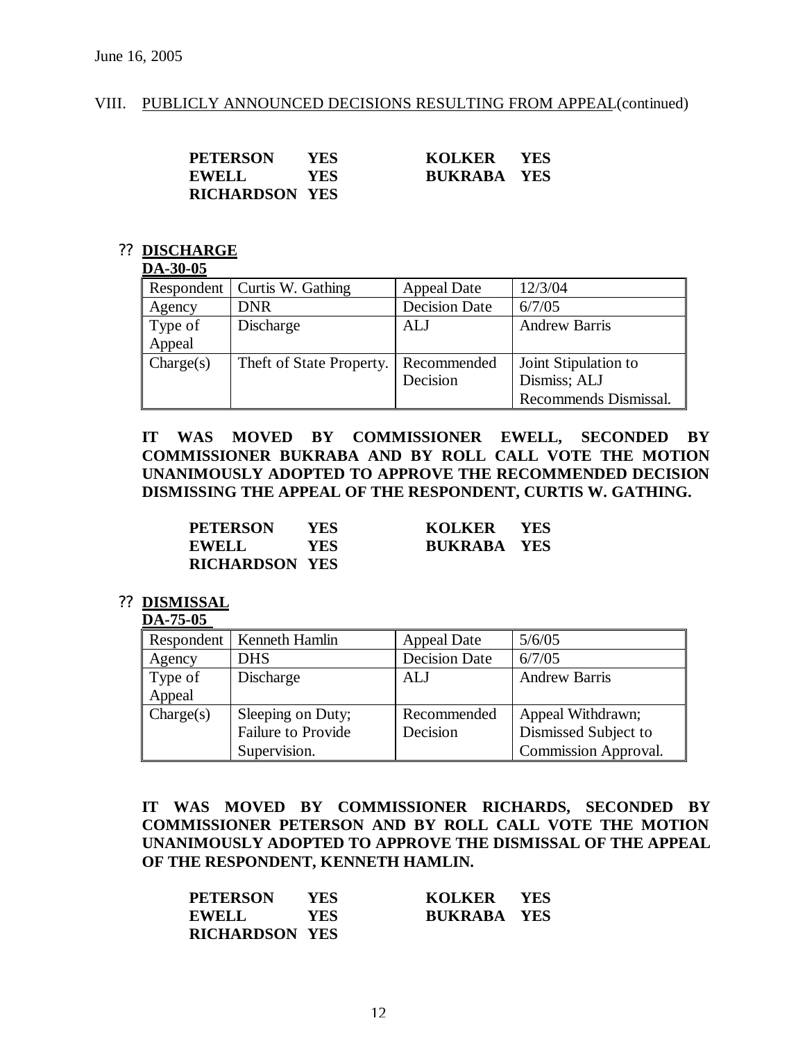#### VIII. PUBLICLY ANNOUNCED DECISIONS RESULTING FROM APPEAL(continued)

| <b>PETERSON</b>       | YES. | KOLKER YES         |  |
|-----------------------|------|--------------------|--|
| <b>EWELL</b>          | YES. | <b>BUKRABA YES</b> |  |
| <b>RICHARDSON YES</b> |      |                    |  |

#### ?? **DISCHARGE**

#### **DA-30-05**

| Respondent | Curtis W. Gathing                    | <b>Appeal Date</b>   | 12/3/04               |
|------------|--------------------------------------|----------------------|-----------------------|
| Agency     | <b>DNR</b>                           | <b>Decision Date</b> | 6/7/05                |
| Type of    | Discharge                            | ALJ                  | <b>Andrew Barris</b>  |
| Appeal     |                                      |                      |                       |
| Change(s)  | Theft of State Property. Recommended |                      | Joint Stipulation to  |
|            |                                      | Decision             | Dismiss; ALJ          |
|            |                                      |                      | Recommends Dismissal. |

**IT WAS MOVED BY COMMISSIONER EWELL, SECONDED BY COMMISSIONER BUKRABA AND BY ROLL CALL VOTE THE MOTION UNANIMOUSLY ADOPTED TO APPROVE THE RECOMMENDED DECISION DISMISSING THE APPEAL OF THE RESPONDENT, CURTIS W. GATHING.**

| <b>PETERSON</b>       | YES. | KOLKER YES         |  |
|-----------------------|------|--------------------|--|
| <b>EWELL</b>          | YES. | <b>BUKRABA YES</b> |  |
| <b>RICHARDSON YES</b> |      |                    |  |

#### ?? **DISMISSAL**

#### **DA-75-05**

|           | Respondent   Kenneth Hamlin | <b>Appeal Date</b>   | 5/6/05                      |
|-----------|-----------------------------|----------------------|-----------------------------|
| Agency    | <b>DHS</b>                  | <b>Decision Date</b> | 6/7/05                      |
| Type of   | Discharge                   | ALJ                  | <b>Andrew Barris</b>        |
| Appeal    |                             |                      |                             |
| Change(s) | Sleeping on Duty;           | Recommended          | Appeal Withdrawn;           |
|           | <b>Failure to Provide</b>   | Decision             | Dismissed Subject to        |
|           | Supervision.                |                      | <b>Commission Approval.</b> |

**IT WAS MOVED BY COMMISSIONER RICHARDS, SECONDED BY COMMISSIONER PETERSON AND BY ROLL CALL VOTE THE MOTION UNANIMOUSLY ADOPTED TO APPROVE THE DISMISSAL OF THE APPEAL OF THE RESPONDENT, KENNETH HAMLIN.**

| <b>PETERSON</b>       | <b>YES</b> | KOLKER YES         |  |
|-----------------------|------------|--------------------|--|
| <b>EWELL</b>          | <b>YES</b> | <b>BUKRABA YES</b> |  |
| <b>RICHARDSON YES</b> |            |                    |  |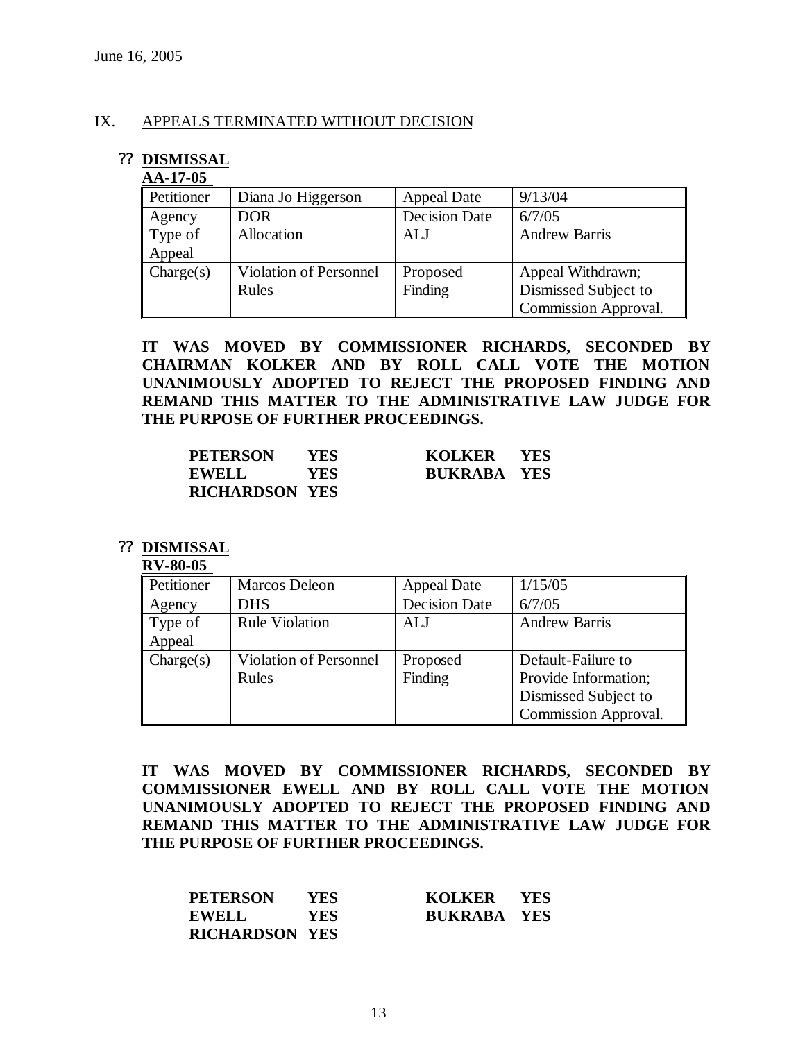#### IX. APPEALS TERMINATED WITHOUT DECISION

### ?? **DISMISSAL**

#### **AA-17-05**

| Petitioner | Diana Jo Higgerson     | <b>Appeal Date</b>   | 9/13/04                     |
|------------|------------------------|----------------------|-----------------------------|
| Agency     | DOR                    | <b>Decision Date</b> | 6/7/05                      |
| Type of    | Allocation             | <b>ALJ</b>           | <b>Andrew Barris</b>        |
| Appeal     |                        |                      |                             |
| Change(s)  | Violation of Personnel | Proposed             | Appeal Withdrawn;           |
|            | Rules                  | Finding              | Dismissed Subject to        |
|            |                        |                      | <b>Commission Approval.</b> |

**IT WAS MOVED BY COMMISSIONER RICHARDS, SECONDED BY CHAIRMAN KOLKER AND BY ROLL CALL VOTE THE MOTION UNANIMOUSLY ADOPTED TO REJECT THE PROPOSED FINDING AND REMAND THIS MATTER TO THE ADMINISTRATIVE LAW JUDGE FOR THE PURPOSE OF FURTHER PROCEEDINGS.**

| <b>PETERSON</b>       | YES.       | KOLKER YES         |  |
|-----------------------|------------|--------------------|--|
| <b>EWELL</b>          | <b>YES</b> | <b>BUKRABA YES</b> |  |
| <b>RICHARDSON YES</b> |            |                    |  |

#### ?? **DISMISSAL**

#### **RV-80-05**

| Petitioner | Marcos Deleon                 | <b>Appeal Date</b>   | 1/15/05                     |
|------------|-------------------------------|----------------------|-----------------------------|
| Agency     | <b>DHS</b>                    | <b>Decision Date</b> | 6/7/05                      |
| Type of    | <b>Rule Violation</b>         | ALJ                  | <b>Andrew Barris</b>        |
| Appeal     |                               |                      |                             |
| Charles)   | <b>Violation of Personnel</b> | Proposed             | Default-Failure to          |
|            | Rules                         | Finding              | Provide Information;        |
|            |                               |                      | Dismissed Subject to        |
|            |                               |                      | <b>Commission Approval.</b> |

**IT WAS MOVED BY COMMISSIONER RICHARDS, SECONDED BY COMMISSIONER EWELL AND BY ROLL CALL VOTE THE MOTION UNANIMOUSLY ADOPTED TO REJECT THE PROPOSED FINDING AND REMAND THIS MATTER TO THE ADMINISTRATIVE LAW JUDGE FOR THE PURPOSE OF FURTHER PROCEEDINGS.**

| <b>PETERSON</b>       | <b>YES</b> | KOLKER YES         |  |
|-----------------------|------------|--------------------|--|
| <b>EWELL</b>          | <b>YES</b> | <b>BUKRABA YES</b> |  |
| <b>RICHARDSON YES</b> |            |                    |  |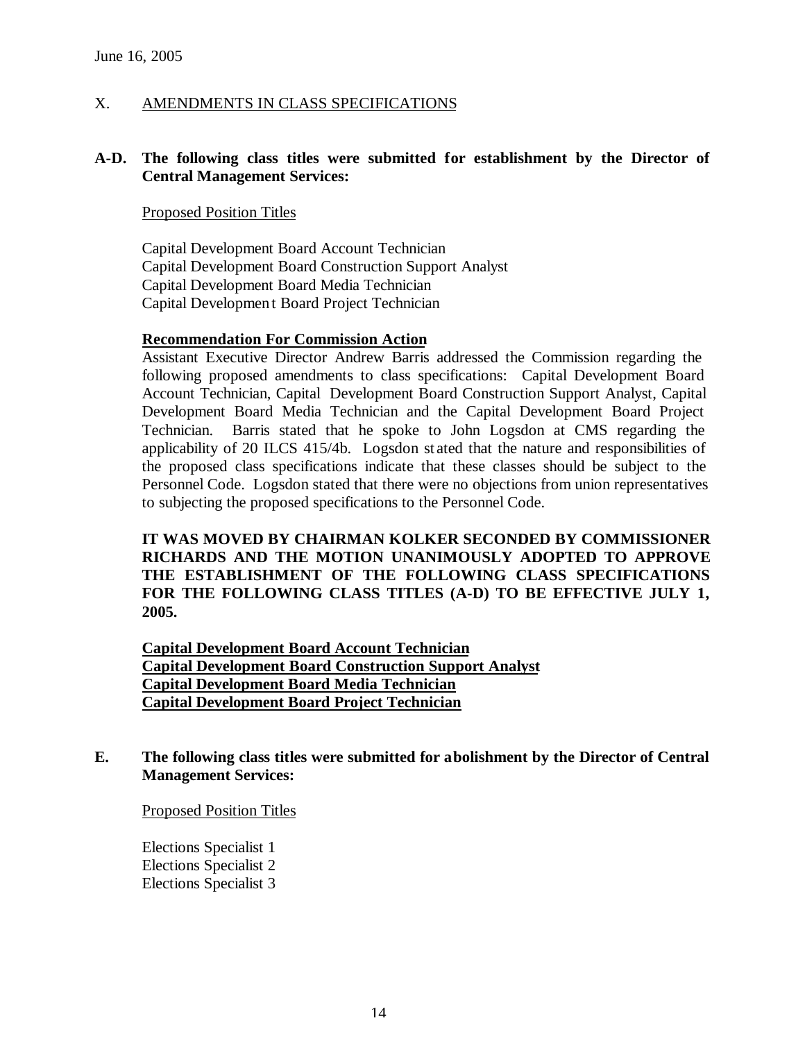X. AMENDMENTS IN CLASS SPECIFICATIONS

### **A-D. The following class titles were submitted for establishment by the Director of Central Management Services:**

### Proposed Position Titles

Capital Development Board Account Technician Capital Development Board Construction Support Analyst Capital Development Board Media Technician Capital Developmen t Board Project Technician

#### **Recommendation For Commission Action**

Assistant Executive Director Andrew Barris addressed the Commission regarding the following proposed amendments to class specifications: Capital Development Board Account Technician, Capital Development Board Construction Support Analyst, Capital Development Board Media Technician and the Capital Development Board Project Technician. Barris stated that he spoke to John Logsdon at CMS regarding the applicability of 20 ILCS 415/4b. Logsdon stated that the nature and responsibilities of the proposed class specifications indicate that these classes should be subject to the Personnel Code. Logsdon stated that there were no objections from union representatives to subjecting the proposed specifications to the Personnel Code.

**IT WAS MOVED BY CHAIRMAN KOLKER SECONDED BY COMMISSIONER RICHARDS AND THE MOTION UNANIMOUSLY ADOPTED TO APPROVE THE ESTABLISHMENT OF THE FOLLOWING CLASS SPECIFICATIONS FOR THE FOLLOWING CLASS TITLES (A-D) TO BE EFFECTIVE JULY 1, 2005.** 

**Capital Development Board Account Technician Capital Development Board Construction Support Analyst Capital Development Board Media Technician Capital Development Board Project Technician**

### **E. The following class titles were submitted for abolishment by the Director of Central Management Services:**

Proposed Position Titles

Elections Specialist 1 Elections Specialist 2 Elections Specialist 3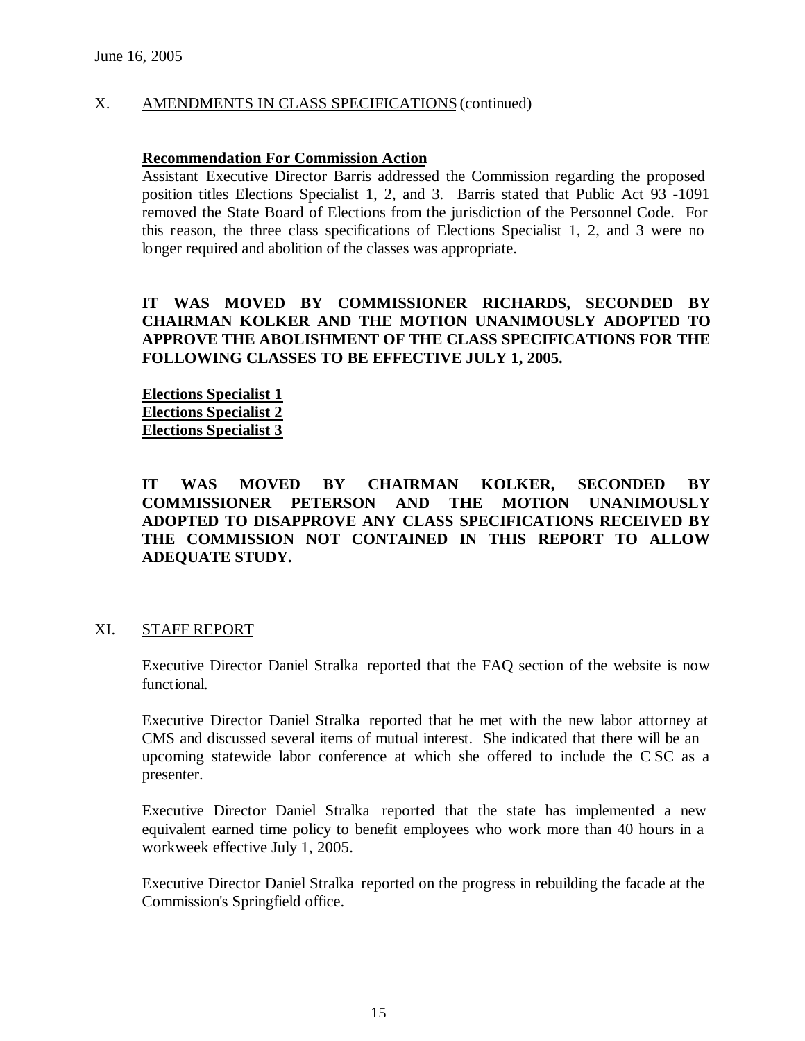### X. AMENDMENTS IN CLASS SPECIFICATIONS (continued)

#### **Recommendation For Commission Action**

Assistant Executive Director Barris addressed the Commission regarding the proposed position titles Elections Specialist 1, 2, and 3. Barris stated that Public Act 93 -1091 removed the State Board of Elections from the jurisdiction of the Personnel Code. For this reason, the three class specifications of Elections Specialist 1, 2, and 3 were no longer required and abolition of the classes was appropriate.

### **IT WAS MOVED BY COMMISSIONER RICHARDS, SECONDED BY CHAIRMAN KOLKER AND THE MOTION UNANIMOUSLY ADOPTED TO APPROVE THE ABOLISHMENT OF THE CLASS SPECIFICATIONS FOR THE FOLLOWING CLASSES TO BE EFFECTIVE JULY 1, 2005.**

**Elections Specialist 1 Elections Specialist 2 Elections Specialist 3**

### **IT WAS MOVED BY CHAIRMAN KOLKER, SECONDED BY COMMISSIONER PETERSON AND THE MOTION UNANIMOUSLY ADOPTED TO DISAPPROVE ANY CLASS SPECIFICATIONS RECEIVED BY THE COMMISSION NOT CONTAINED IN THIS REPORT TO ALLOW ADEQUATE STUDY.**

#### XI. STAFF REPORT

Executive Director Daniel Stralka reported that the FAQ section of the website is now functional.

Executive Director Daniel Stralka reported that he met with the new labor attorney at CMS and discussed several items of mutual interest. She indicated that there will be an upcoming statewide labor conference at which she offered to include the C SC as a presenter.

Executive Director Daniel Stralka reported that the state has implemented a new equivalent earned time policy to benefit employees who work more than 40 hours in a workweek effective July 1, 2005.

Executive Director Daniel Stralka reported on the progress in rebuilding the facade at the Commission's Springfield office.